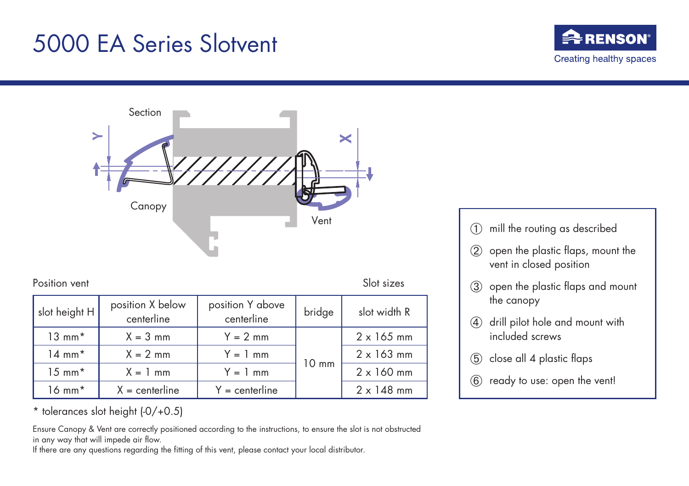## 5000 EA Series Slotvent





Position vent Slot sizes

| slot height H     | position X below<br>centerline | position Y above<br>centerline | bridge          | slot width R      |
|-------------------|--------------------------------|--------------------------------|-----------------|-------------------|
| $13 \text{ mm}^*$ | $X = 3$ mm                     | $Y = 2$ mm                     | $10 \text{ mm}$ | $2 \times 165$ mm |
| $14 \text{ mm}^*$ | $X = 2$ mm                     | $Y = 1$ mm                     |                 | $2 \times 163$ mm |
| $15 \text{ mm}^*$ | $X = 1$ mm                     | $Y = 1$ mm                     |                 | $2 \times 160$ mm |
| $16 \text{ mm}^*$ | $X =$ centerline               | $Y =$ centerline               |                 | $2 \times 148$ mm |

\* tolerances slot height (-0/+0.5)

Ensure Canopy & Vent are correctly positioned according to the instructions, to ensure the slot is not obstructed in any way that will impede air flow.

If there are any questions regarding the fitting of this vent, please contact your local distributor.

- ➀ mill the routing as described
- ➁ open the plastic flaps, mount the vent in closed position
- ➂ open the plastic flaps and mount the canopy
- ➃ drill pilot hole and mount with included screws
- ➄ close all 4 plastic flaps
- ➅ ready to use: open the vent!